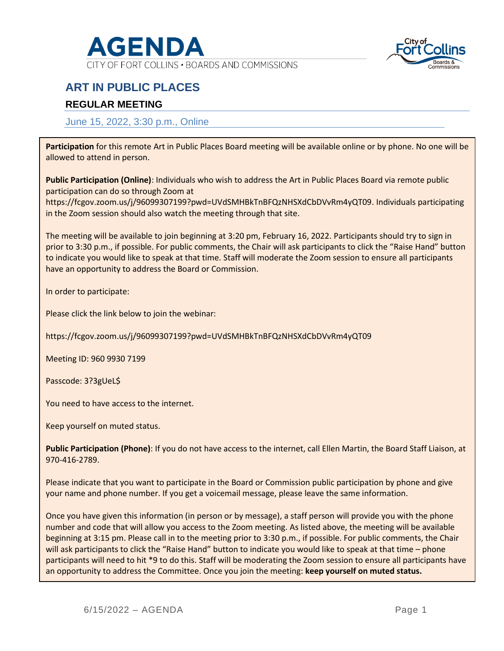

CITY OF FORT COLLINS . BOARDS AND COMMISSIONS



## **ART IN PUBLIC PLACES**

### **REGULAR MEETING**

#### June 15, 2022, 3:30 p.m., Online

**Participation** for this remote Art in Public Places Board meeting will be available online or by phone. No one will be allowed to attend in person.

**Public Participation (Online)**: Individuals who wish to address the Art in Public Places Board via remote public participation can do so through Zoom at

https://fcgov.zoom.us/j/96099307199?pwd=UVdSMHBkTnBFQzNHSXdCbDVvRm4yQT09. Individuals participating in the Zoom session should also watch the meeting through that site.

The meeting will be available to join beginning at 3:20 pm, February 16, 2022. Participants should try to sign in prior to 3:30 p.m., if possible. For public comments, the Chair will ask participants to click the "Raise Hand" button to indicate you would like to speak at that time. Staff will moderate the Zoom session to ensure all participants have an opportunity to address the Board or Commission.

In order to participate:

Please click the link below to join the webinar:

https://fcgov.zoom.us/j/96099307199?pwd=UVdSMHBkTnBFQzNHSXdCbDVvRm4yQT09

Meeting ID: 960 9930 7199

Passcode: 3?3gUeL\$

You need to have access to the internet.

Keep yourself on muted status.

**Public Participation (Phone)**: If you do not have access to the internet, call Ellen Martin, the Board Staff Liaison, at 970-416-2789.

Please indicate that you want to participate in the Board or Commission public participation by phone and give your name and phone number. If you get a voicemail message, please leave the same information.

Once you have given this information (in person or by message), a staff person will provide you with the phone number and code that will allow you access to the Zoom meeting. As listed above, the meeting will be available beginning at 3:15 pm. Please call in to the meeting prior to 3:30 p.m., if possible. For public comments, the Chair will ask participants to click the "Raise Hand" button to indicate you would like to speak at that time – phone participants will need to hit \*9 to do this. Staff will be moderating the Zoom session to ensure all participants have an opportunity to address the Committee. Once you join the meeting: **keep yourself on muted status.**